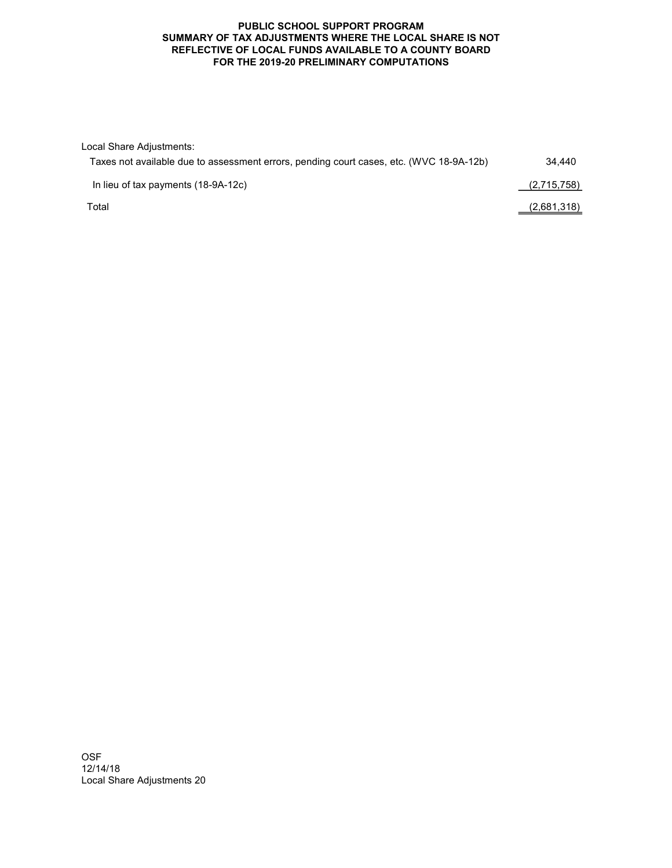## PUBLIC SCHOOL SUPPORT PROGRAM SUMMARY OF TAX ADJUSTMENTS WHERE THE LOCAL SHARE IS NOT REFLECTIVE OF LOCAL FUNDS AVAILABLE TO A COUNTY BOARD FOR THE 2019-20 PRELIMINARY COMPUTATIONS

| Local Share Adjustments:                                                                |             |
|-----------------------------------------------------------------------------------------|-------------|
| Taxes not available due to assessment errors, pending court cases, etc. (WVC 18-9A-12b) | 34.440      |
| In lieu of tax payments (18-9A-12c)                                                     | (2,715,758) |
| Total                                                                                   | (2,681,318) |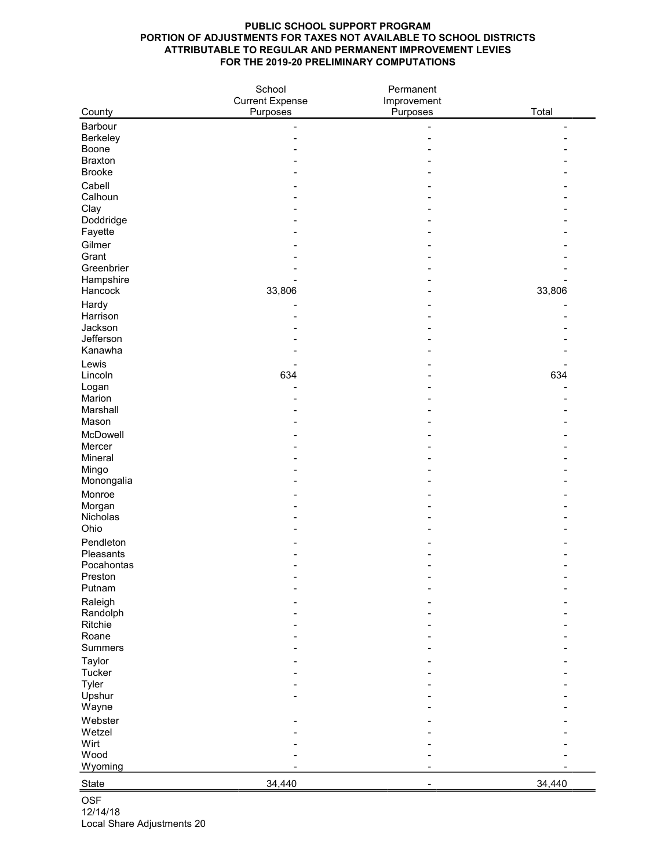## PUBLIC SCHOOL SUPPORT PROGRAM PORTION OF ADJUSTMENTS FOR TAXES NOT AVAILABLE TO SCHOOL DISTRICTS ATTRIBUTABLE TO REGULAR AND PERMANENT IMPROVEMENT LEVIES FOR THE 2019-20 PRELIMINARY COMPUTATIONS

|                     | School                             | Permanent               |        |
|---------------------|------------------------------------|-------------------------|--------|
| County              | <b>Current Expense</b><br>Purposes | Improvement<br>Purposes | Total  |
| Barbour             |                                    |                         |        |
| Berkeley            |                                    |                         |        |
| Boone               |                                    |                         |        |
| <b>Braxton</b>      |                                    |                         |        |
| <b>Brooke</b>       |                                    |                         |        |
| Cabell              |                                    |                         |        |
| Calhoun             |                                    |                         |        |
| Clay                |                                    |                         |        |
| Doddridge           |                                    |                         |        |
| Fayette             |                                    |                         |        |
| Gilmer              |                                    |                         |        |
| Grant<br>Greenbrier |                                    |                         |        |
| Hampshire           |                                    |                         |        |
| Hancock             | 33,806                             |                         | 33,806 |
| Hardy               |                                    |                         |        |
| Harrison            |                                    |                         |        |
| Jackson             |                                    |                         |        |
| Jefferson           |                                    |                         |        |
| Kanawha             |                                    |                         |        |
| Lewis               |                                    |                         |        |
| Lincoln             | 634                                |                         | 634    |
| Logan               |                                    |                         |        |
| Marion              |                                    |                         |        |
| Marshall<br>Mason   |                                    |                         |        |
| McDowell            |                                    |                         |        |
| Mercer              |                                    |                         |        |
| Mineral             |                                    |                         |        |
| Mingo               |                                    |                         |        |
| Monongalia          |                                    |                         |        |
| Monroe              |                                    |                         |        |
| Morgan              |                                    |                         |        |
| Nicholas            |                                    |                         |        |
| Ohio                |                                    |                         |        |
| Pendleton           |                                    |                         |        |
| Pleasants           |                                    |                         |        |
| Pocahontas          |                                    |                         |        |
| Preston<br>Putnam   |                                    |                         |        |
| Raleigh             |                                    |                         |        |
| Randolph            |                                    |                         |        |
| Ritchie             |                                    |                         |        |
| Roane               |                                    |                         |        |
| Summers             |                                    |                         |        |
| Taylor              |                                    |                         |        |
| Tucker              |                                    |                         |        |
| Tyler               |                                    |                         |        |
| Upshur              |                                    |                         |        |
| Wayne               |                                    |                         |        |
| Webster             |                                    |                         |        |
| Wetzel<br>Wirt      |                                    |                         |        |
| Wood                |                                    |                         |        |
| Wyoming             |                                    |                         |        |
|                     |                                    |                         |        |
| <b>State</b>        | 34,440                             |                         | 34,440 |